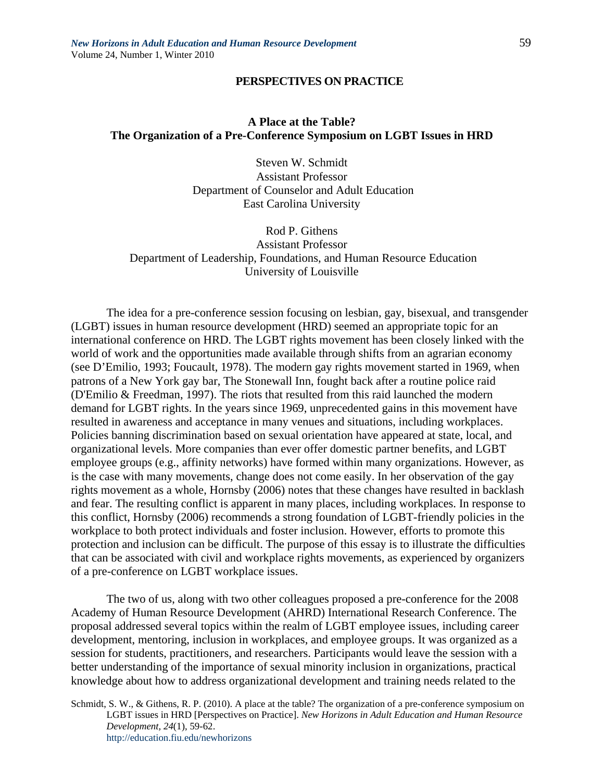## **PERSPECTIVES ON PRACTICE**

# **A Place at the Table? The Organization of a Pre-Conference Symposium on LGBT Issues in HRD**

Steven W. Schmidt Assistant Professor Department of Counselor and Adult Education East Carolina University

Rod P. Githens Assistant Professor Department of Leadership, Foundations, and Human Resource Education University of Louisville

 The idea for a pre-conference session focusing on lesbian, gay, bisexual, and transgender (LGBT) issues in human resource development (HRD) seemed an appropriate topic for an international conference on HRD. The LGBT rights movement has been closely linked with the world of work and the opportunities made available through shifts from an agrarian economy (see D'Emilio, 1993; Foucault, 1978). The modern gay rights movement started in 1969, when patrons of a New York gay bar, The Stonewall Inn, fought back after a routine police raid (D'Emilio & Freedman, 1997). The riots that resulted from this raid launched the modern demand for LGBT rights. In the years since 1969, unprecedented gains in this movement have resulted in awareness and acceptance in many venues and situations, including workplaces. Policies banning discrimination based on sexual orientation have appeared at state, local, and organizational levels. More companies than ever offer domestic partner benefits, and LGBT employee groups (e.g., affinity networks) have formed within many organizations. However, as is the case with many movements, change does not come easily. In her observation of the gay rights movement as a whole, Hornsby (2006) notes that these changes have resulted in backlash and fear. The resulting conflict is apparent in many places, including workplaces. In response to this conflict, Hornsby (2006) recommends a strong foundation of LGBT-friendly policies in the workplace to both protect individuals and foster inclusion. However, efforts to promote this protection and inclusion can be difficult. The purpose of this essay is to illustrate the difficulties that can be associated with civil and workplace rights movements, as experienced by organizers of a pre-conference on LGBT workplace issues.

 The two of us, along with two other colleagues proposed a pre-conference for the 2008 Academy of Human Resource Development (AHRD) International Research Conference. The proposal addressed several topics within the realm of LGBT employee issues, including career development, mentoring, inclusion in workplaces, and employee groups. It was organized as a session for students, practitioners, and researchers. Participants would leave the session with a better understanding of the importance of sexual minority inclusion in organizations, practical knowledge about how to address organizational development and training needs related to the

Schmidt, S. W., & Githens, R. P. (2010). A place at the table? The organization of a pre-conference symposium on LGBT issues in HRD [Perspectives on Practice]. *New Horizons in Adult Education and Human Resource Development, 24*(1), 59-62. http://education.fiu.edu/newhorizons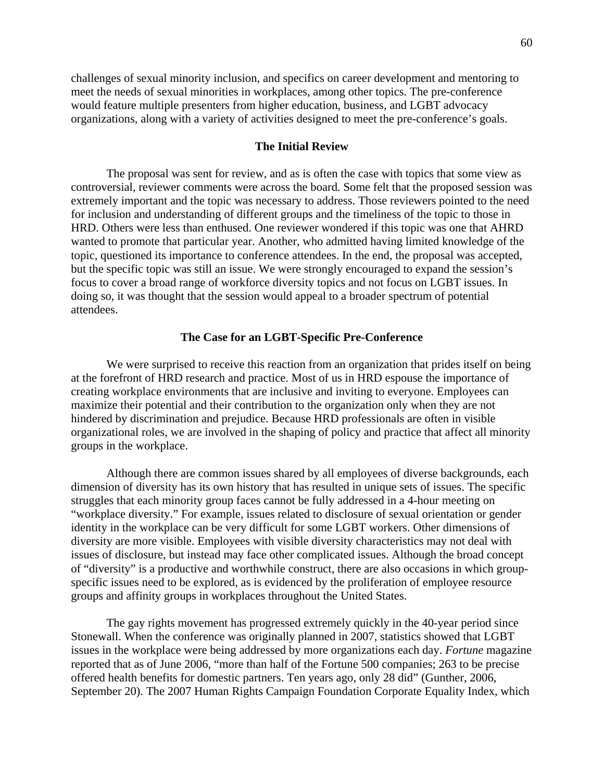challenges of sexual minority inclusion, and specifics on career development and mentoring to meet the needs of sexual minorities in workplaces, among other topics. The pre-conference would feature multiple presenters from higher education, business, and LGBT advocacy organizations, along with a variety of activities designed to meet the pre-conference's goals.

### **The Initial Review**

 The proposal was sent for review, and as is often the case with topics that some view as controversial, reviewer comments were across the board. Some felt that the proposed session was extremely important and the topic was necessary to address. Those reviewers pointed to the need for inclusion and understanding of different groups and the timeliness of the topic to those in HRD. Others were less than enthused. One reviewer wondered if this topic was one that AHRD wanted to promote that particular year. Another, who admitted having limited knowledge of the topic, questioned its importance to conference attendees. In the end, the proposal was accepted, but the specific topic was still an issue. We were strongly encouraged to expand the session's focus to cover a broad range of workforce diversity topics and not focus on LGBT issues. In doing so, it was thought that the session would appeal to a broader spectrum of potential attendees.

### **The Case for an LGBT-Specific Pre-Conference**

We were surprised to receive this reaction from an organization that prides itself on being at the forefront of HRD research and practice. Most of us in HRD espouse the importance of creating workplace environments that are inclusive and inviting to everyone. Employees can maximize their potential and their contribution to the organization only when they are not hindered by discrimination and prejudice. Because HRD professionals are often in visible organizational roles, we are involved in the shaping of policy and practice that affect all minority groups in the workplace.

Although there are common issues shared by all employees of diverse backgrounds, each dimension of diversity has its own history that has resulted in unique sets of issues. The specific struggles that each minority group faces cannot be fully addressed in a 4-hour meeting on "workplace diversity." For example, issues related to disclosure of sexual orientation or gender identity in the workplace can be very difficult for some LGBT workers. Other dimensions of diversity are more visible. Employees with visible diversity characteristics may not deal with issues of disclosure, but instead may face other complicated issues. Although the broad concept of "diversity" is a productive and worthwhile construct, there are also occasions in which groupspecific issues need to be explored, as is evidenced by the proliferation of employee resource groups and affinity groups in workplaces throughout the United States.

The gay rights movement has progressed extremely quickly in the 40-year period since Stonewall. When the conference was originally planned in 2007, statistics showed that LGBT issues in the workplace were being addressed by more organizations each day. *Fortune* magazine reported that as of June 2006, "more than half of the Fortune 500 companies; 263 to be precise offered health benefits for domestic partners. Ten years ago, only 28 did" (Gunther, 2006, September 20). The 2007 Human Rights Campaign Foundation Corporate Equality Index, which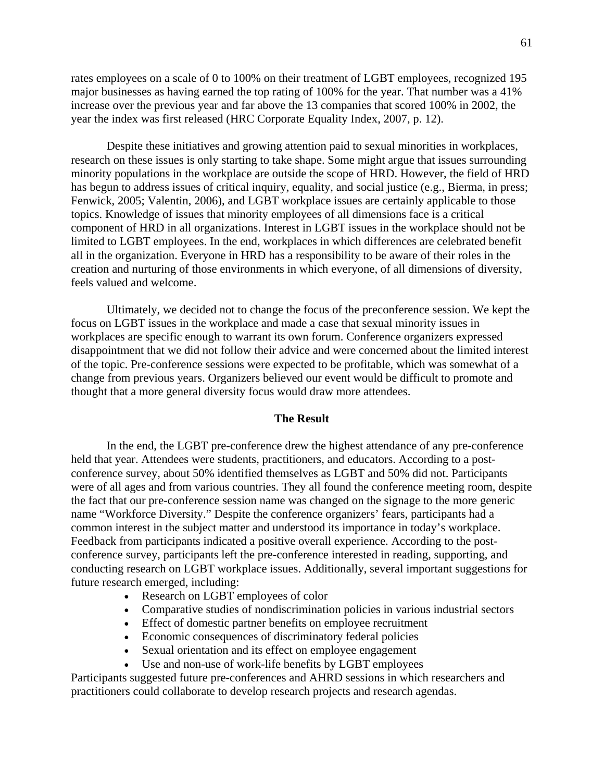rates employees on a scale of 0 to 100% on their treatment of LGBT employees, recognized 195 major businesses as having earned the top rating of 100% for the year. That number was a 41% increase over the previous year and far above the 13 companies that scored 100% in 2002, the year the index was first released (HRC Corporate Equality Index, 2007, p. 12).

Despite these initiatives and growing attention paid to sexual minorities in workplaces, research on these issues is only starting to take shape. Some might argue that issues surrounding minority populations in the workplace are outside the scope of HRD. However, the field of HRD has begun to address issues of critical inquiry, equality, and social justice (e.g., Bierma, in press; Fenwick, 2005; Valentin, 2006), and LGBT workplace issues are certainly applicable to those topics. Knowledge of issues that minority employees of all dimensions face is a critical component of HRD in all organizations. Interest in LGBT issues in the workplace should not be limited to LGBT employees. In the end, workplaces in which differences are celebrated benefit all in the organization. Everyone in HRD has a responsibility to be aware of their roles in the creation and nurturing of those environments in which everyone, of all dimensions of diversity, feels valued and welcome.

Ultimately, we decided not to change the focus of the preconference session. We kept the focus on LGBT issues in the workplace and made a case that sexual minority issues in workplaces are specific enough to warrant its own forum. Conference organizers expressed disappointment that we did not follow their advice and were concerned about the limited interest of the topic. Pre-conference sessions were expected to be profitable, which was somewhat of a change from previous years. Organizers believed our event would be difficult to promote and thought that a more general diversity focus would draw more attendees.

## **The Result**

In the end, the LGBT pre-conference drew the highest attendance of any pre-conference held that year. Attendees were students, practitioners, and educators. According to a postconference survey, about 50% identified themselves as LGBT and 50% did not. Participants were of all ages and from various countries. They all found the conference meeting room, despite the fact that our pre-conference session name was changed on the signage to the more generic name "Workforce Diversity." Despite the conference organizers' fears, participants had a common interest in the subject matter and understood its importance in today's workplace. Feedback from participants indicated a positive overall experience. According to the postconference survey, participants left the pre-conference interested in reading, supporting, and conducting research on LGBT workplace issues. Additionally, several important suggestions for future research emerged, including:

- Research on LGBT employees of color
- Comparative studies of nondiscrimination policies in various industrial sectors
- Effect of domestic partner benefits on employee recruitment
- Economic consequences of discriminatory federal policies
- Sexual orientation and its effect on employee engagement
- Use and non-use of work-life benefits by LGBT employees

Participants suggested future pre-conferences and AHRD sessions in which researchers and practitioners could collaborate to develop research projects and research agendas.